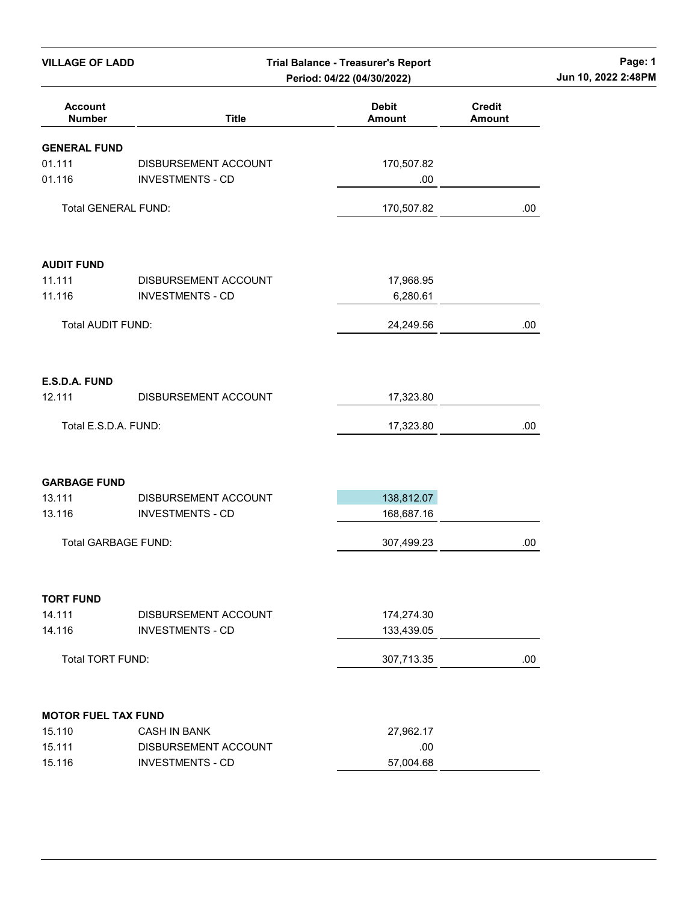| <b>VILLAGE OF LADD</b>          | <b>Trial Balance - Treasurer's Report</b><br>Period: 04/22 (04/30/2022) |                               |                                | Page: 1<br>Jun 10, 2022 2:48PM |
|---------------------------------|-------------------------------------------------------------------------|-------------------------------|--------------------------------|--------------------------------|
| <b>Account</b><br><b>Number</b> | <b>Title</b>                                                            | <b>Debit</b><br><b>Amount</b> | <b>Credit</b><br><b>Amount</b> |                                |
| <b>GENERAL FUND</b>             |                                                                         |                               |                                |                                |
| 01.111                          | DISBURSEMENT ACCOUNT                                                    | 170,507.82                    |                                |                                |
| 01.116                          | <b>INVESTMENTS - CD</b>                                                 | .00                           |                                |                                |
| Total GENERAL FUND:             |                                                                         | 170,507.82                    | .00.                           |                                |
| <b>AUDIT FUND</b>               |                                                                         |                               |                                |                                |
| 11.111                          | DISBURSEMENT ACCOUNT                                                    | 17,968.95                     |                                |                                |
| 11.116                          | <b>INVESTMENTS - CD</b>                                                 | 6,280.61                      |                                |                                |
| <b>Total AUDIT FUND:</b>        |                                                                         | 24,249.56                     | .00                            |                                |
| E.S.D.A. FUND                   |                                                                         |                               |                                |                                |
| 12.111                          | DISBURSEMENT ACCOUNT                                                    | 17,323.80                     |                                |                                |
| Total E.S.D.A. FUND:            |                                                                         | 17,323.80                     | .00.                           |                                |
| <b>GARBAGE FUND</b>             |                                                                         |                               |                                |                                |
| 13.111                          | DISBURSEMENT ACCOUNT                                                    | 138,812.07                    |                                |                                |
| 13.116                          | <b>INVESTMENTS - CD</b>                                                 | 168,687.16                    |                                |                                |
| <b>Total GARBAGE FUND:</b>      |                                                                         | 307,499.23                    | .00                            |                                |
| <b>TORT FUND</b>                |                                                                         |                               |                                |                                |
| 14.111                          | DISBURSEMENT ACCOUNT                                                    | 174,274.30                    |                                |                                |
| 14.116                          | <b>INVESTMENTS - CD</b>                                                 | 133,439.05                    |                                |                                |
| Total TORT FUND:                |                                                                         | 307,713.35                    | .00.                           |                                |
| <b>MOTOR FUEL TAX FUND</b>      |                                                                         |                               |                                |                                |
| 15.110                          | <b>CASH IN BANK</b>                                                     | 27,962.17                     |                                |                                |
| 15.111                          | DISBURSEMENT ACCOUNT                                                    | .00                           |                                |                                |
| 15.116                          | <b>INVESTMENTS - CD</b>                                                 | 57,004.68                     |                                |                                |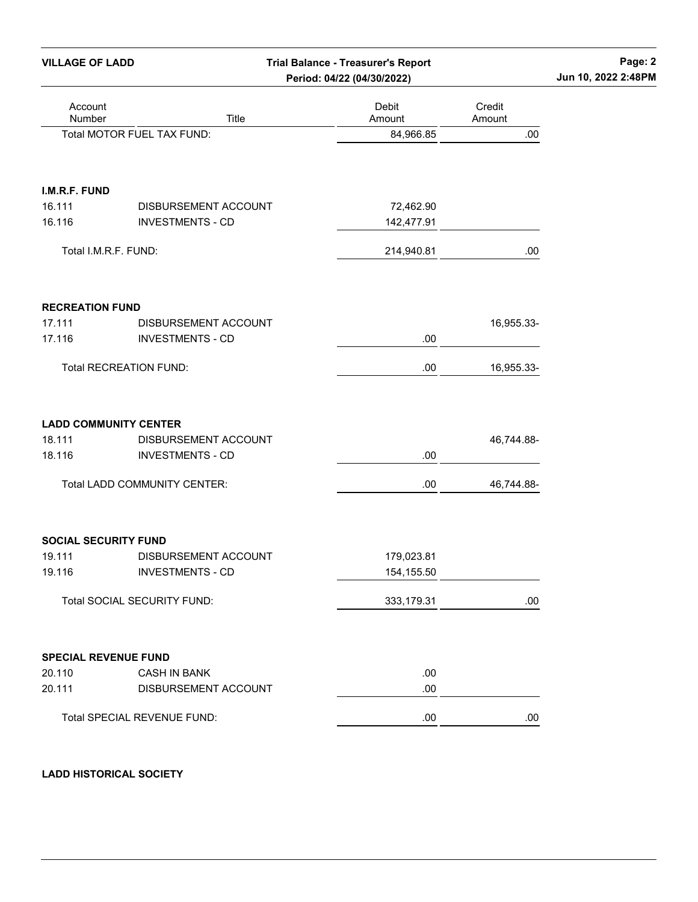| <b>VILLAGE OF LADD</b>        |                                                 | <b>Trial Balance - Treasurer's Report</b><br>Period: 04/22 (04/30/2022) |                  | Page: 2<br>Jun 10, 2022 2:48PM |
|-------------------------------|-------------------------------------------------|-------------------------------------------------------------------------|------------------|--------------------------------|
| Account<br>Number             | Title                                           | Debit<br>Amount                                                         | Credit<br>Amount |                                |
|                               | Total MOTOR FUEL TAX FUND:                      | 84,966.85                                                               | .00              |                                |
| I.M.R.F. FUND                 |                                                 |                                                                         |                  |                                |
| 16.111<br>16.116              | DISBURSEMENT ACCOUNT<br><b>INVESTMENTS - CD</b> | 72,462.90<br>142,477.91                                                 |                  |                                |
| Total I.M.R.F. FUND:          |                                                 | 214,940.81                                                              | .00              |                                |
| <b>RECREATION FUND</b>        |                                                 |                                                                         |                  |                                |
| 17.111<br>17.116              | DISBURSEMENT ACCOUNT<br><b>INVESTMENTS - CD</b> | .00                                                                     | 16,955.33-       |                                |
| <b>Total RECREATION FUND:</b> |                                                 | .00                                                                     | 16,955.33-       |                                |
| <b>LADD COMMUNITY CENTER</b>  |                                                 |                                                                         |                  |                                |
| 18.111<br>18.116              | DISBURSEMENT ACCOUNT<br><b>INVESTMENTS - CD</b> | .00                                                                     | 46,744.88-       |                                |
|                               | Total LADD COMMUNITY CENTER:                    | .00                                                                     | 46,744.88-       |                                |
| <b>SOCIAL SECURITY FUND</b>   |                                                 |                                                                         |                  |                                |
| 19.111<br>19.116              | DISBURSEMENT ACCOUNT<br><b>INVESTMENTS - CD</b> | 179,023.81<br>154, 155.50                                               |                  |                                |
|                               | Total SOCIAL SECURITY FUND:                     | 333,179.31                                                              | .00              |                                |
| <b>SPECIAL REVENUE FUND</b>   |                                                 |                                                                         |                  |                                |
| 20.110<br>20.111              | <b>CASH IN BANK</b><br>DISBURSEMENT ACCOUNT     | .00<br>.00                                                              |                  |                                |
|                               | Total SPECIAL REVENUE FUND:                     | .00                                                                     | .00              |                                |

## LADD HISTORICAL SOCIETY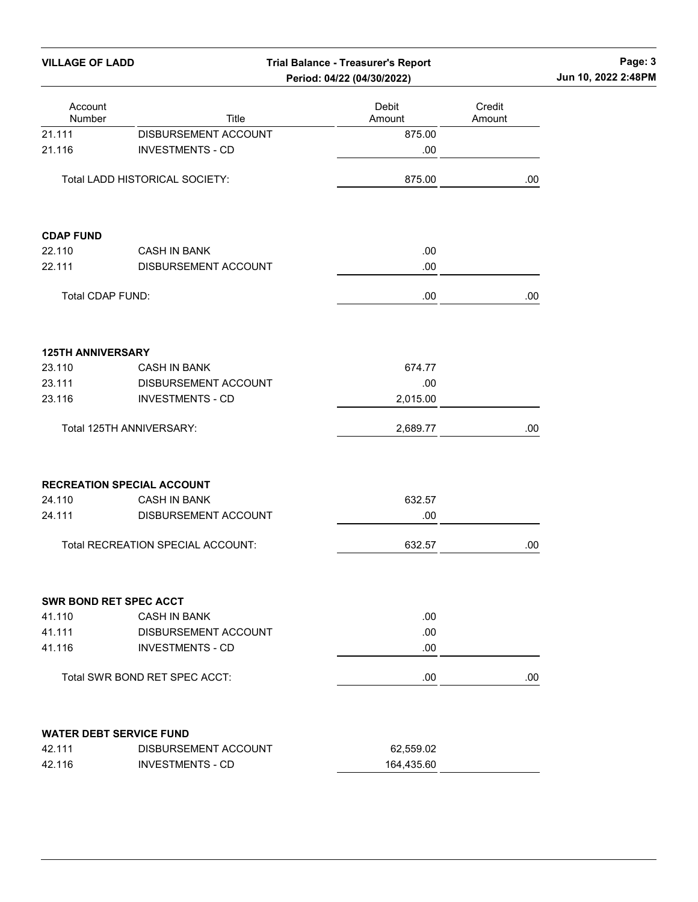| <b>VILLAGE OF LADD</b><br><b>Trial Balance - Treasurer's Report</b> |                                   |                            | Page: 3<br>Jun 10, 2022 2:48PM |  |  |
|---------------------------------------------------------------------|-----------------------------------|----------------------------|--------------------------------|--|--|
|                                                                     |                                   | Period: 04/22 (04/30/2022) |                                |  |  |
| Account<br>Number                                                   | Title                             | Debit<br>Amount            | Credit<br>Amount               |  |  |
| 21.111                                                              | DISBURSEMENT ACCOUNT              | 875.00                     |                                |  |  |
| 21.116                                                              | <b>INVESTMENTS - CD</b>           | .00                        |                                |  |  |
|                                                                     | Total LADD HISTORICAL SOCIETY:    | 875.00                     | .00                            |  |  |
| <b>CDAP FUND</b>                                                    |                                   |                            |                                |  |  |
| 22.110                                                              | <b>CASH IN BANK</b>               | .00.                       |                                |  |  |
| 22.111                                                              | DISBURSEMENT ACCOUNT              | .00                        |                                |  |  |
| Total CDAP FUND:                                                    |                                   | .00                        | .00                            |  |  |
| <b>125TH ANNIVERSARY</b>                                            |                                   |                            |                                |  |  |
| 23.110                                                              | <b>CASH IN BANK</b>               | 674.77                     |                                |  |  |
| 23.111                                                              | DISBURSEMENT ACCOUNT              | .00                        |                                |  |  |
| 23.116                                                              | <b>INVESTMENTS - CD</b>           | 2,015.00                   |                                |  |  |
|                                                                     | Total 125TH ANNIVERSARY:          | 2,689.77                   | .00                            |  |  |
|                                                                     | <b>RECREATION SPECIAL ACCOUNT</b> |                            |                                |  |  |
| 24.110                                                              | <b>CASH IN BANK</b>               | 632.57                     |                                |  |  |
| 24.111                                                              | DISBURSEMENT ACCOUNT              | .00                        |                                |  |  |
|                                                                     | Total RECREATION SPECIAL ACCOUNT: | 632.57                     | .00                            |  |  |
|                                                                     | <b>SWR BOND RET SPEC ACCT</b>     |                            |                                |  |  |
| 41.110                                                              | <b>CASH IN BANK</b>               | .00                        |                                |  |  |
| 41.111                                                              | DISBURSEMENT ACCOUNT              | .00                        |                                |  |  |
| 41.116                                                              | <b>INVESTMENTS - CD</b>           | .00                        |                                |  |  |
|                                                                     | Total SWR BOND RET SPEC ACCT:     | .00                        | .00                            |  |  |
|                                                                     | <b>WATER DEBT SERVICE FUND</b>    |                            |                                |  |  |
| 42.111                                                              | DISBURSEMENT ACCOUNT              | 62,559.02                  |                                |  |  |
| 42.116                                                              | <b>INVESTMENTS - CD</b>           | 164,435.60                 |                                |  |  |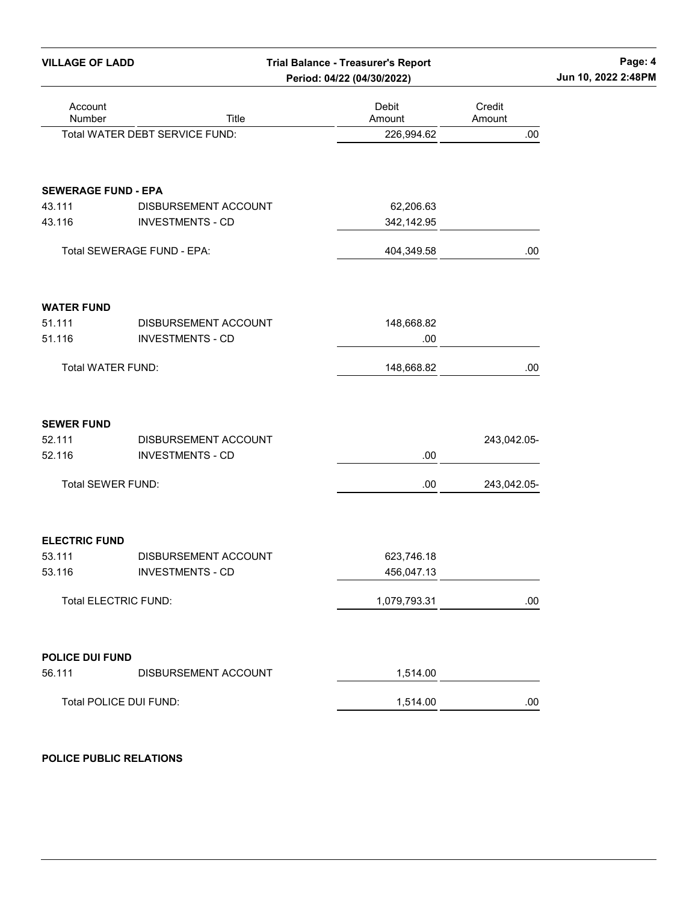| <b>VILLAGE OF LADD</b>      |                                                 | <b>Trial Balance - Treasurer's Report</b><br>Period: 04/22 (04/30/2022) |                  | Page: 4<br>Jun 10, 2022 2:48PM |
|-----------------------------|-------------------------------------------------|-------------------------------------------------------------------------|------------------|--------------------------------|
| Account<br>Number           | Title                                           | Debit<br>Amount                                                         | Credit<br>Amount |                                |
|                             | Total WATER DEBT SERVICE FUND:                  | 226,994.62                                                              | .00              |                                |
| <b>SEWERAGE FUND - EPA</b>  |                                                 |                                                                         |                  |                                |
| 43.111<br>43.116            | DISBURSEMENT ACCOUNT<br><b>INVESTMENTS - CD</b> | 62,206.63<br>342,142.95                                                 |                  |                                |
|                             | Total SEWERAGE FUND - EPA:                      | 404,349.58                                                              | .00              |                                |
| <b>WATER FUND</b>           |                                                 |                                                                         |                  |                                |
| 51.111<br>51.116            | DISBURSEMENT ACCOUNT<br><b>INVESTMENTS - CD</b> | 148,668.82<br>.00                                                       |                  |                                |
| Total WATER FUND:           |                                                 | 148,668.82                                                              | .00              |                                |
| <b>SEWER FUND</b>           |                                                 |                                                                         |                  |                                |
| 52.111<br>52.116            | DISBURSEMENT ACCOUNT<br><b>INVESTMENTS - CD</b> | .00                                                                     | 243,042.05-      |                                |
| Total SEWER FUND:           |                                                 | .00                                                                     | 243,042.05-      |                                |
|                             |                                                 |                                                                         |                  |                                |
| <b>ELECTRIC FUND</b>        |                                                 |                                                                         |                  |                                |
| 53.111<br>53.116            | DISBURSEMENT ACCOUNT<br><b>INVESTMENTS - CD</b> | 623,746.18<br>456,047.13                                                |                  |                                |
| <b>Total ELECTRIC FUND:</b> |                                                 | 1,079,793.31                                                            | .00              |                                |
| <b>POLICE DUI FUND</b>      |                                                 |                                                                         |                  |                                |
| 56.111                      | DISBURSEMENT ACCOUNT                            | 1,514.00                                                                |                  |                                |
| Total POLICE DUI FUND:      |                                                 | 1,514.00                                                                | .00              |                                |

## POLICE PUBLIC RELATIONS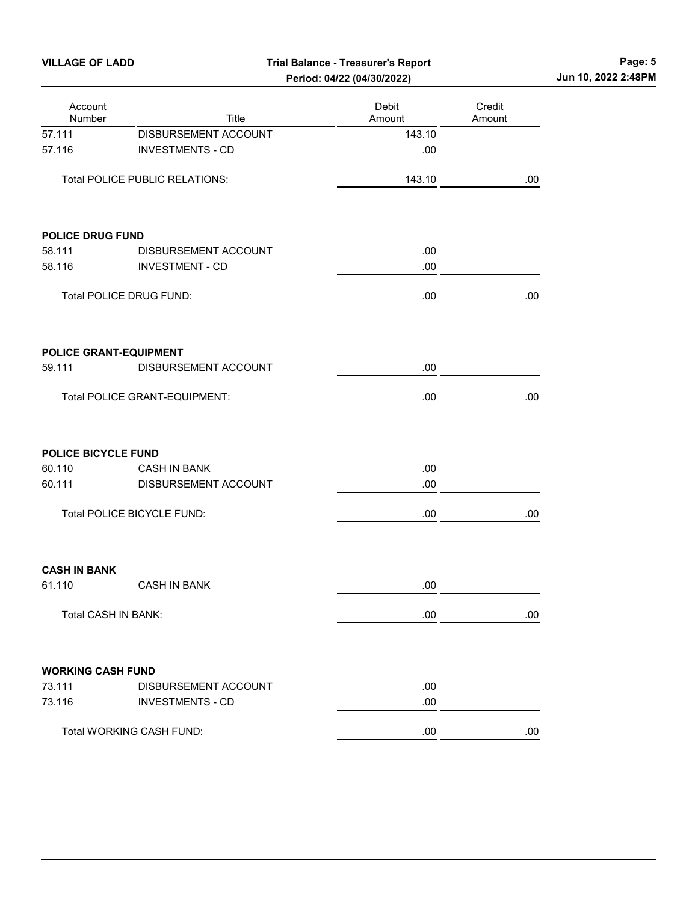| Account<br>Number       | Title                                          | Debit<br>Amount | Credit<br>Amount |
|-------------------------|------------------------------------------------|-----------------|------------------|
| 57.111                  | DISBURSEMENT ACCOUNT                           | 143.10          |                  |
| 57.116                  | <b>INVESTMENTS - CD</b>                        | .00             |                  |
|                         | <b>Total POLICE PUBLIC RELATIONS:</b>          | 143.10          | .00.             |
| <b>POLICE DRUG FUND</b> |                                                |                 |                  |
| 58.111                  | DISBURSEMENT ACCOUNT                           | .00             |                  |
| 58.116                  | <b>INVESTMENT - CD</b>                         | .00             |                  |
|                         | Total POLICE DRUG FUND:                        | .00             | .00              |
| 59.111                  | POLICE GRANT-EQUIPMENT<br>DISBURSEMENT ACCOUNT | .00             |                  |
|                         | <b>Total POLICE GRANT-EQUIPMENT:</b>           | .00             | .00              |
| POLICE BICYCLE FUND     |                                                |                 |                  |
| 60.110                  | <b>CASH IN BANK</b>                            | .00             |                  |
| 60.111                  | DISBURSEMENT ACCOUNT                           | .00             |                  |
|                         | Total POLICE BICYCLE FUND:                     | .00             | .00              |
| <b>CASH IN BANK</b>     |                                                |                 |                  |
| 61.110                  | <b>CASH IN BANK</b>                            | .00             |                  |
|                         | Total CASH IN BANK:                            | .00             | .00              |

VILLAGE OF LADD Trial Balance - Treasurer's Report Page: 5

| 73.111 | DISBURSEMENT ACCOUNT     | .00 |     |
|--------|--------------------------|-----|-----|
| 73.116 | INVESTMENTS - CD         | .00 |     |
|        | Total WORKING CASH FUND: | .00 | .00 |
|        |                          |     |     |